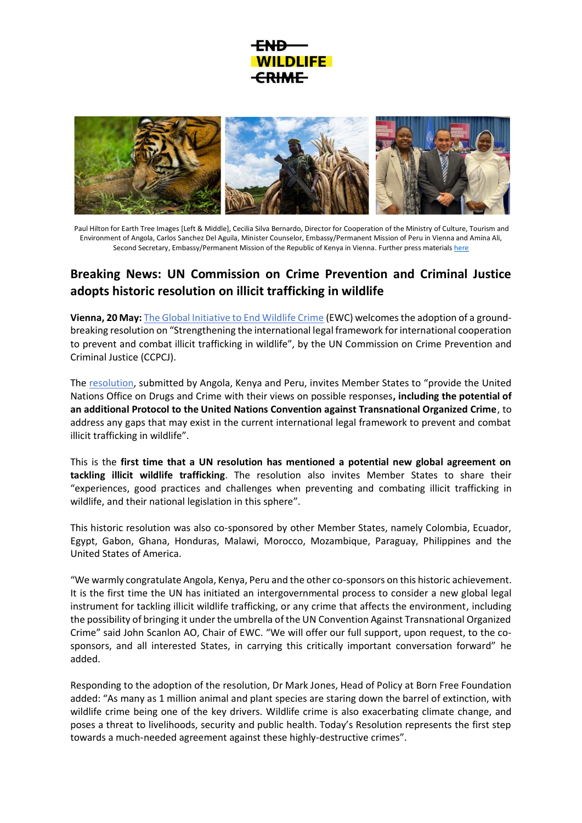## **DI IFFI CRIME**



Paul Hilton for Earth Tree Images [Left & Middle], Cecilia Silva Bernardo, Director for Cooperation of the Ministry of Culture, Tourism and Environment of Angola, Carlos Sanchez Del Aguila, Minister Counselor, Embassy/Permanent Mission of Peru in Vienna and Amina Ali, Second Secretary, Embassy/Permanent Mission of the Republic of Kenya in Vienna. Further press material[s here](https://drive.google.com/drive/folders/1PDeSuTnEUr2jBZbsJk4_CtH7i0nQt7R1?usp=sharing)

## **Breaking News: UN Commission on Crime Prevention and Criminal Justice adopts historic resolution on illicit trafficking in wildlife**

**Vienna, 20 May:** [The Global Initiative to End Wildlife Crime](http://www.endwildlifecrime.org/) (EWC) welcomes the adoption of a groundbreaking resolution on "Strengthening the international legal framework for international cooperation to prevent and combat illicit trafficking in wildlife", by the UN Commission on Crime Prevention and Criminal Justice (CCPCJ).

The [resolution,](https://www.unodc.org/unodc/en/commissions/CCPCJ/session/31_Session_2022/cow_draft-proposals.html) submitted by Angola, Kenya and Peru, invites Member States to "provide the United Nations Office on Drugs and Crime with their views on possible responses**, including the potential of an additional Protocol to the United Nations Convention against Transnational Organized Crime**, to address any gaps that may exist in the current international legal framework to prevent and combat illicit trafficking in wildlife".

This is the **first time that a UN resolution has mentioned a potential new global agreement on tackling illicit wildlife trafficking**. The resolution also invites Member States to share their "experiences, good practices and challenges when preventing and combating illicit trafficking in wildlife, and their national legislation in this sphere".

This historic resolution was also co-sponsored by other Member States, namely Colombia, Ecuador, Egypt, Gabon, Ghana, Honduras, Malawi, Morocco, Mozambique, Paraguay, Philippines and the United States of America.

"We warmly congratulate Angola, Kenya, Peru and the other co-sponsors on this historic achievement. It is the first time the UN has initiated an intergovernmental process to consider a new global legal instrument for tackling illicit wildlife trafficking, or any crime that affects the environment, including the possibility of bringing it under the umbrella of the UN Convention Against Transnational Organized Crime" said John Scanlon AO, Chair of EWC. "We will offer our full support, upon request, to the cosponsors, and all interested States, in carrying this critically important conversation forward" he added.

Responding to the adoption of the resolution, Dr Mark Jones, Head of Policy at Born Free Foundation added: "As many as 1 million animal and plant species are staring down the barrel of extinction, with wildlife crime being one of the key drivers. Wildlife crime is also exacerbating climate change, and poses a threat to livelihoods, security and public health. Today's Resolution represents the first step towards a much-needed agreement against these highly-destructive crimes".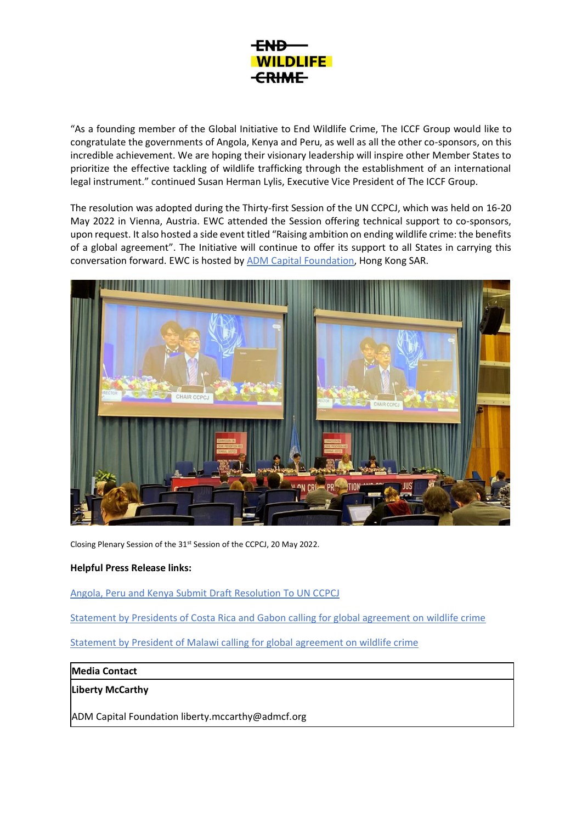

"As a founding member of the Global Initiative to End Wildlife Crime, The ICCF Group would like to congratulate the governments of Angola, Kenya and Peru, as well as all the other co-sponsors, on this incredible achievement. We are hoping their visionary leadership will inspire other Member States to prioritize the effective tackling of wildlife trafficking through the establishment of an international legal instrument." continued Susan Herman Lylis, Executive Vice President of The ICCF Group.

The resolution was adopted during the Thirty-first Session of the UN CCPCJ, which was held on 16-20 May 2022 in Vienna, Austria. EWC attended the Session offering technical support to co-sponsors, upon request. It also hosted a side event titled "Raising ambition on ending wildlife crime: the benefits of a global agreement". The Initiative will continue to offer its support to all States in carrying this conversation forward. EWC is hosted by **ADM Capital Foundation**, Hong Kong SAR.



Closing Plenary Session of the 31st Session of the CCPCJ, 20 May 2022.

## **Helpful Press Release links:**

Angola, Peru and Kenya Submit Draft [Resolution](https://endwildlifecrime.org/wp-content/uploads/2022/04/25.04.22-PRESS-RELEASE_-Angola-Kenya-and-Peru-.pdf) To UN CCPCJ

[Statement by Presidents of Costa Rica and Gabon calling for global agreement on wildlife crime](https://endwildlifecrime.org/wp-content/uploads/2021/05/Gabon-and-Costa-Rica-Joint-Statement-on-Wildlife-Crime-Press-Release-and-Statements-May-2021-.pdf)

[Statement by President of Malawi calling for global agreement on wildlife crime](https://endwildlifecrime.org/wp-content/uploads/2022/01/Malawi-Statement.pdf)

## **Media Contact**

**Liberty McCarthy** 

ADM Capital Foundation liberty.mccarthy@admcf.org